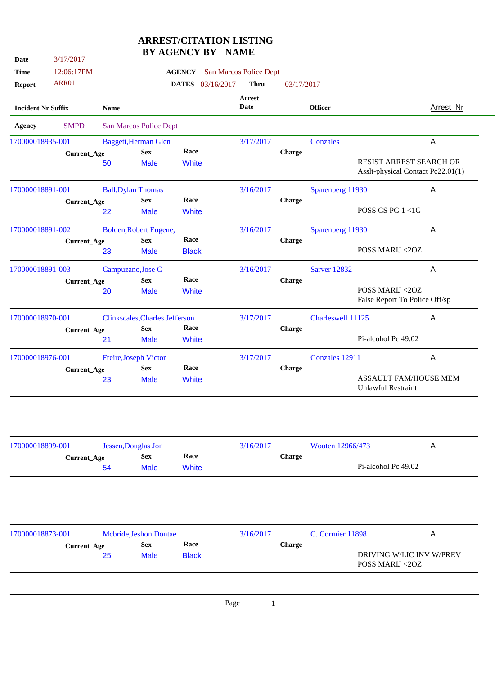## **ARREST/CITATION LISTING BY AGENCY BY NAME**

| 12:06:17PM<br>ARR01<br><b>Incident Nr Suffix</b><br><b>SMPD</b><br>170000018935-001<br>Current_Age<br>170000018891-001<br><b>Current_Age</b><br>170000018891-002<br>Current_Age | <b>Name</b><br><b>Baggett, Herman Glen</b><br>50<br><b>Ball, Dylan Thomas</b><br>22<br>Bolden, Robert Eugene, | San Marcos Police Dept<br><b>Sex</b><br><b>Male</b><br><b>Sex</b><br><b>Male</b>           | <b>AGENCY</b><br><b>DATES</b> 03/16/2017<br>Race<br>White<br>Race                                                                       | San Marcos Police Dept<br><b>Thru</b><br><b>Arrest</b><br>Date<br>3/17/2017<br>3/16/2017 | 03/17/2017<br>Charge | <b>Officer</b><br><b>Gonzales</b> | RESIST ARREST SEARCH OR           | <b>Arrest_Nr</b><br>A                                                                                                                                                                                       |
|---------------------------------------------------------------------------------------------------------------------------------------------------------------------------------|---------------------------------------------------------------------------------------------------------------|--------------------------------------------------------------------------------------------|-----------------------------------------------------------------------------------------------------------------------------------------|------------------------------------------------------------------------------------------|----------------------|-----------------------------------|-----------------------------------|-------------------------------------------------------------------------------------------------------------------------------------------------------------------------------------------------------------|
|                                                                                                                                                                                 |                                                                                                               |                                                                                            |                                                                                                                                         |                                                                                          |                      |                                   |                                   |                                                                                                                                                                                                             |
|                                                                                                                                                                                 |                                                                                                               |                                                                                            |                                                                                                                                         |                                                                                          |                      |                                   |                                   |                                                                                                                                                                                                             |
|                                                                                                                                                                                 |                                                                                                               |                                                                                            |                                                                                                                                         |                                                                                          |                      |                                   |                                   |                                                                                                                                                                                                             |
|                                                                                                                                                                                 |                                                                                                               |                                                                                            |                                                                                                                                         |                                                                                          |                      |                                   |                                   |                                                                                                                                                                                                             |
|                                                                                                                                                                                 |                                                                                                               |                                                                                            |                                                                                                                                         |                                                                                          |                      |                                   |                                   |                                                                                                                                                                                                             |
|                                                                                                                                                                                 |                                                                                                               |                                                                                            |                                                                                                                                         |                                                                                          |                      |                                   |                                   |                                                                                                                                                                                                             |
|                                                                                                                                                                                 |                                                                                                               |                                                                                            |                                                                                                                                         |                                                                                          |                      |                                   | Asslt-physical Contact Pc22.01(1) |                                                                                                                                                                                                             |
|                                                                                                                                                                                 |                                                                                                               |                                                                                            |                                                                                                                                         |                                                                                          |                      | Sparenberg 11930                  |                                   | A                                                                                                                                                                                                           |
|                                                                                                                                                                                 |                                                                                                               |                                                                                            |                                                                                                                                         |                                                                                          | Charge               |                                   |                                   |                                                                                                                                                                                                             |
|                                                                                                                                                                                 |                                                                                                               |                                                                                            | <b>White</b>                                                                                                                            |                                                                                          |                      |                                   | POSS CS PG $1 < 1$ G              |                                                                                                                                                                                                             |
|                                                                                                                                                                                 |                                                                                                               |                                                                                            |                                                                                                                                         | 3/16/2017                                                                                |                      | Sparenberg 11930                  |                                   | A                                                                                                                                                                                                           |
|                                                                                                                                                                                 |                                                                                                               | <b>Sex</b>                                                                                 | Race                                                                                                                                    |                                                                                          | Charge               |                                   |                                   |                                                                                                                                                                                                             |
|                                                                                                                                                                                 | 23                                                                                                            | <b>Male</b>                                                                                | <b>Black</b>                                                                                                                            |                                                                                          |                      |                                   | POSS MARIJ <20Z                   |                                                                                                                                                                                                             |
| 170000018891-003                                                                                                                                                                |                                                                                                               |                                                                                            |                                                                                                                                         | 3/16/2017                                                                                |                      | <b>Sarver 12832</b>               |                                   | A                                                                                                                                                                                                           |
|                                                                                                                                                                                 |                                                                                                               | <b>Sex</b>                                                                                 | Race                                                                                                                                    |                                                                                          | <b>Charge</b>        |                                   |                                   |                                                                                                                                                                                                             |
|                                                                                                                                                                                 | 20                                                                                                            | <b>Male</b>                                                                                | White                                                                                                                                   |                                                                                          |                      |                                   | POSS MARIJ <20Z                   |                                                                                                                                                                                                             |
|                                                                                                                                                                                 |                                                                                                               |                                                                                            |                                                                                                                                         |                                                                                          |                      |                                   |                                   |                                                                                                                                                                                                             |
|                                                                                                                                                                                 |                                                                                                               |                                                                                            |                                                                                                                                         |                                                                                          |                      |                                   |                                   | A                                                                                                                                                                                                           |
|                                                                                                                                                                                 |                                                                                                               |                                                                                            |                                                                                                                                         |                                                                                          |                      |                                   |                                   |                                                                                                                                                                                                             |
|                                                                                                                                                                                 |                                                                                                               |                                                                                            |                                                                                                                                         |                                                                                          |                      |                                   |                                   |                                                                                                                                                                                                             |
| 170000018976-001                                                                                                                                                                |                                                                                                               |                                                                                            |                                                                                                                                         | 3/17/2017                                                                                |                      |                                   |                                   | A                                                                                                                                                                                                           |
|                                                                                                                                                                                 |                                                                                                               | <b>Sex</b>                                                                                 |                                                                                                                                         |                                                                                          |                      |                                   |                                   |                                                                                                                                                                                                             |
|                                                                                                                                                                                 |                                                                                                               |                                                                                            |                                                                                                                                         |                                                                                          |                      | <b>Unlawful Restraint</b>         |                                   |                                                                                                                                                                                                             |
|                                                                                                                                                                                 |                                                                                                               |                                                                                            |                                                                                                                                         |                                                                                          |                      |                                   |                                   |                                                                                                                                                                                                             |
| 170000018899-001                                                                                                                                                                |                                                                                                               |                                                                                            |                                                                                                                                         | 3/16/2017                                                                                |                      |                                   |                                   | $\overline{A}$                                                                                                                                                                                              |
|                                                                                                                                                                                 |                                                                                                               | <b>Sex</b>                                                                                 | Race                                                                                                                                    |                                                                                          | Charge               |                                   |                                   |                                                                                                                                                                                                             |
|                                                                                                                                                                                 | 54                                                                                                            | <b>Male</b>                                                                                | White                                                                                                                                   |                                                                                          |                      |                                   | Pi-alcohol Pc 49.02               |                                                                                                                                                                                                             |
|                                                                                                                                                                                 |                                                                                                               |                                                                                            |                                                                                                                                         |                                                                                          |                      |                                   |                                   |                                                                                                                                                                                                             |
| 170000018873-001                                                                                                                                                                |                                                                                                               |                                                                                            |                                                                                                                                         | 3/16/2017                                                                                |                      |                                   |                                   | A                                                                                                                                                                                                           |
|                                                                                                                                                                                 |                                                                                                               | <b>Sex</b>                                                                                 | Race                                                                                                                                    |                                                                                          | Charge               |                                   |                                   |                                                                                                                                                                                                             |
|                                                                                                                                                                                 | 25                                                                                                            | <b>Male</b>                                                                                | <b>Black</b>                                                                                                                            |                                                                                          |                      |                                   |                                   |                                                                                                                                                                                                             |
|                                                                                                                                                                                 |                                                                                                               |                                                                                            |                                                                                                                                         |                                                                                          |                      |                                   |                                   |                                                                                                                                                                                                             |
|                                                                                                                                                                                 | 170000018970-001                                                                                              | Current_Age<br>Current_Age<br>21<br>Current_Age<br>23<br>Current_Age<br><b>Current_Age</b> | Campuzano, Jose C<br><b>Sex</b><br><b>Male</b><br>Freire, Joseph Victor<br><b>Male</b><br>Jessen, Douglas Jon<br>Mcbride, Jeshon Dontae | Clinkscales, Charles Jefferson<br>Race<br>White<br>Race<br>White                         | 3/17/2017            | <b>Charge</b><br>Charge           |                                   | False Report To Police Off/sp<br>Charleswell 11125<br>Pi-alcohol Pc 49.02<br>Gonzales 12911<br>ASSAULT FAM/HOUSE MEM<br>Wooten 12966/473<br>C. Cormier 11898<br>DRIVING W/LIC INV W/PREV<br>POSS MARIJ <20Z |